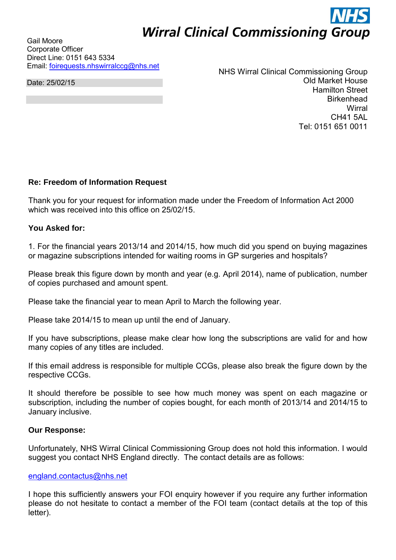# **Wirral Clinical Commissioning Group**

Gail Moore Corporate Officer Direct Line: 0151 643 5334 Email: [foirequests.nhswirralccg@nhs.net](mailto:foirequests.nhswirralccg@nhs.net) 

Date: 25/02/15

NHS Wirral Clinical Commissioning Group Old Market House Hamilton Street **Birkenhead Wirral** CH41 5AL Tel: 0151 651 0011

## **Re: Freedom of Information Request**

Thank you for your request for information made under the Freedom of Information Act 2000 which was received into this office on 25/02/15

## **You Asked for:**

1. For the financial years 2013/14 and 2014/15, how much did you spend on buying magazines or magazine subscriptions intended for waiting rooms in GP surgeries and hospitals?

Please break this figure down by month and year (e.g. April 2014), name of publication, number of copies purchased and amount spent.

Please take the financial year to mean April to March the following year.

Please take 2014/15 to mean up until the end of January.

If you have subscriptions, please make clear how long the subscriptions are valid for and how many copies of any titles are included.

If this email address is responsible for multiple CCGs, please also break the figure down by the respective CCGs.

It should therefore be possible to see how much money was spent on each magazine or subscription, including the number of copies bought, for each month of 2013/14 and 2014/15 to January inclusive.

#### **Our Response:**

Unfortunately, NHS Wirral Clinical Commissioning Group does not hold this information. I would suggest you contact NHS England directly. The contact details are as follows:

### [england.contactus@nhs.net](mailto:england.contactus@nhs.net)

I hope this sufficiently answers your FOI enquiry however if you require any further information please do not hesitate to contact a member of the FOI team (contact details at the top of this letter).